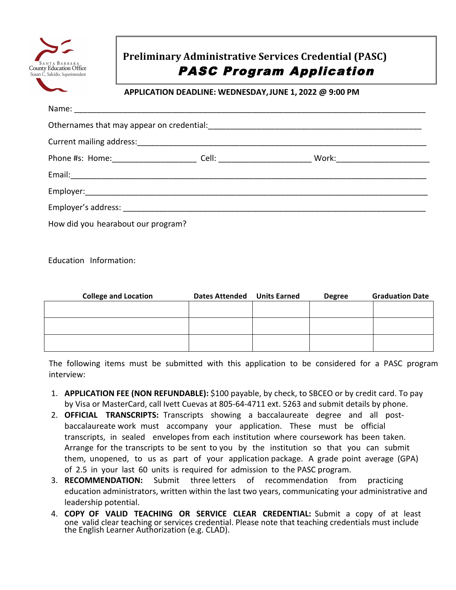

## **Preliminary Administrative Services Credential (PASC)**  PASC Program Application

## **APPLICATION DEADLINE: WEDNESDAY, JUNE 1, 2022 @ 9:00 PM**

| Phone #s: Home:__________________________Cell: ______________________________Work:____________________________ |  |  |  |  |
|----------------------------------------------------------------------------------------------------------------|--|--|--|--|
| Email: No. 2014 1999 - March 1999 - March 1999 - March 1999 - March 1999 - March 1999 - March 1999 - March 199 |  |  |  |  |
|                                                                                                                |  |  |  |  |
|                                                                                                                |  |  |  |  |
| How did you hearabout our program?                                                                             |  |  |  |  |

Education Information:

| <b>College and Location</b> | <b>Dates Attended</b> | <b>Units Earned</b> | <b>Degree</b> | <b>Graduation Date</b> |
|-----------------------------|-----------------------|---------------------|---------------|------------------------|
|                             |                       |                     |               |                        |
|                             |                       |                     |               |                        |
|                             |                       |                     |               |                        |
|                             |                       |                     |               |                        |
|                             |                       |                     |               |                        |
|                             |                       |                     |               |                        |

The following items must be submitted with this application to be considered for a PASC program interview:

- 1. **APPLICATION FEE (NON REFUNDABLE):** \$100 payable, by check, to SBCEO or by credit card. To pay by Visa or MasterCard, call Ivett Cuevas at 805-64-4711 ext. 5263 and submit details by phone.
- 2. **OFFICIAL TRANSCRIPTS:** Transcripts showing a baccalaureate degree and all postbaccalaureate work must accompany your application. These must be official transcripts, in sealed envelopes from each institution where coursework has been taken. Arrange for the transcripts to be sent to you by the institution so that you can submit them, unopened, to us as part of your application package. A grade point average (GPA) of 2.5 in your last 60 units is required for admission to the PASC program.
- 3. **RECOMMENDATION:** Submit three letters of recommendation from practicing education administrators, written within the last two years, communicating your administrative and leadership potential.
- 4. **COPY OF VALID TEACHING OR SERVICE CLEAR CREDENTIAL:** Submit a copy of at least one valid clear teaching or services credential. Please note that teaching credentials must include the English Learner Authorization (e.g. CLAD).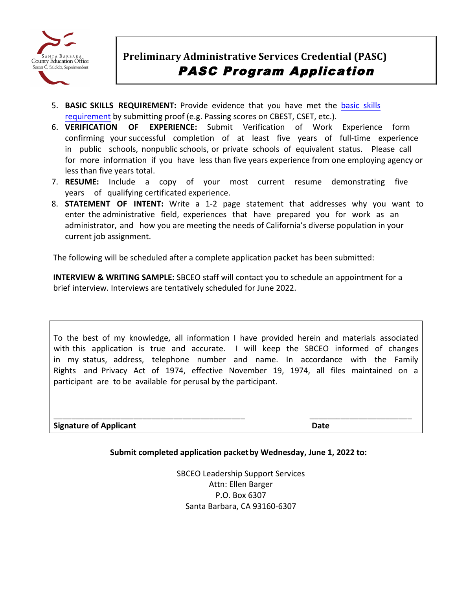

- **5. BASIC SKILLS REQUIREMENT:** Provide evidence that you have met the basic skills requirement by submitting proof (e.g. Passing scores on CBEST, CSET, etc.).
- 6. **VERIFICATION OF EXPERIENCE:** Submit Verification of Work Experience form confirming your successful completion of at least five years of full-time experience in public schools, nonpublic schools, or private schools of equivalent status. Please call for more information if you have less than five years experience from one employing agency or less than five years total.
- 7. RESUME: Include a copy of your most current resume demonstrating five years of qualifying certificated experience.
- 8. **STATEMENT OF INTENT:** Write a 1-2 page statement that addresses why you want to enter the administrative field, experiences that have prepared you for work as an administrator, and how you are meeting the needs of California's diverse population in your current job assignment.

The following will be scheduled after a complete application packet has been submitted:

**INTERVIEW & WRITING SAMPLE:** SBCEO staff will contact you to schedule an appointment for a brief interview. Interviews are tentatively scheduled for June 2022.

 with this application is true and accurate. I will keep the SBCEO informed of changes in my status, address, telephone number and name. In accordance with the Family Rights and Privacy Act of 1974, effective November 19, 1974, all files maintained on a participant are to be available for perusal by the participant. To the best of my knowledge, all information I have provided herein and materials associated 

**Signature of Applicant Date** 

## **Submit completed application packet by Wednesday, June 1, 2022 to:**

\_\_\_\_\_\_\_\_\_\_\_\_\_\_\_\_\_\_\_\_\_\_\_\_\_\_\_\_\_\_\_\_\_\_\_\_\_\_\_\_\_\_\_ \_\_\_\_\_\_\_\_\_\_\_\_\_\_\_\_\_\_\_\_\_\_\_

 P.O. Box 6307 SBCEO Leadership Support Services Attn: Ellen Barger Santa Barbara, CA 93160-6307